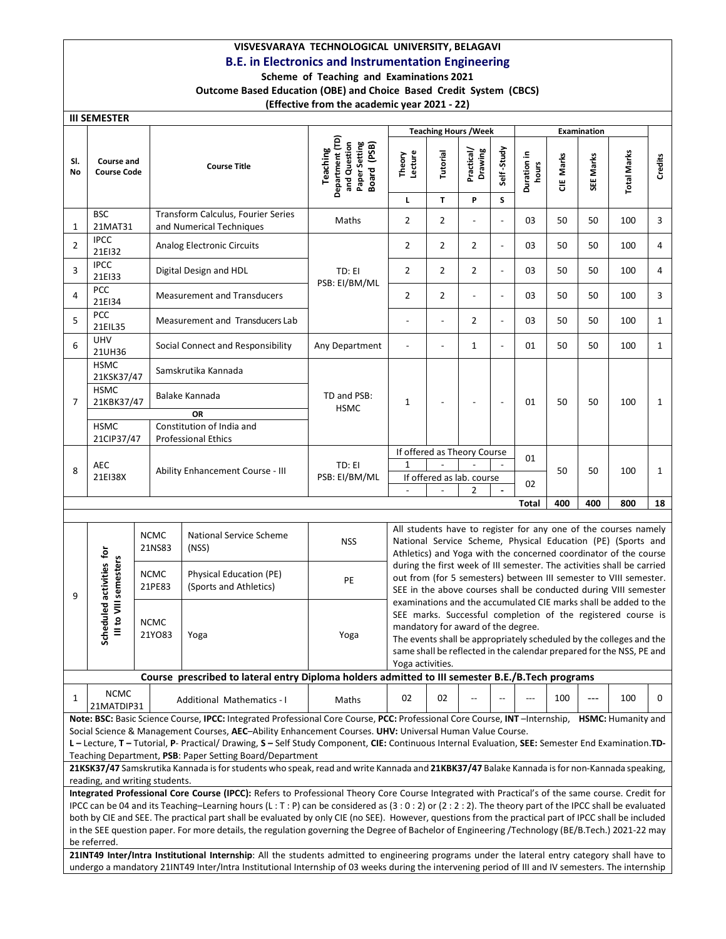# VISVESVARAYA TECHNOLOGICAL UNIVERSITY, BELAGAVI

# B.E. in Electronics and Instrumentation Engineering

### Scheme of Teaching and Examinations 2021 Outcome Based Education (OBE) and Choice Based Credit System (CBCS) (Effective from the academic year 2021 - 22)

III SEMESTER

|              | <b>III SEMESTER</b>                               |                       |                                                                                                                                                                                                                                                                                                           |                                                                             |                                                                                                                                                                                                                                                                                                                                                                                                               |                      |                              |                          |                      |            |              |                                                                                                                                                                                                     |              |
|--------------|---------------------------------------------------|-----------------------|-----------------------------------------------------------------------------------------------------------------------------------------------------------------------------------------------------------------------------------------------------------------------------------------------------------|-----------------------------------------------------------------------------|---------------------------------------------------------------------------------------------------------------------------------------------------------------------------------------------------------------------------------------------------------------------------------------------------------------------------------------------------------------------------------------------------------------|----------------------|------------------------------|--------------------------|----------------------|------------|--------------|-----------------------------------------------------------------------------------------------------------------------------------------------------------------------------------------------------|--------------|
|              |                                                   |                       |                                                                                                                                                                                                                                                                                                           |                                                                             |                                                                                                                                                                                                                                                                                                                                                                                                               |                      | <b>Teaching Hours / Week</b> |                          |                      |            | Examination  |                                                                                                                                                                                                     |              |
| SI.<br>No    | Course and<br><b>Course Code</b>                  |                       | <b>Course Title</b>                                                                                                                                                                                                                                                                                       | Department (TD)<br>Paper Setting<br>and Question<br>Board (PSB)<br>Teaching | Lecture<br>Theory<br>г                                                                                                                                                                                                                                                                                                                                                                                        | <b>Tutorial</b><br>T | Practical/<br>Drawing<br>P   | Self-Study<br>S          | Duration in<br>hours | Marks<br>ă | SEE Marks    | Total Marks                                                                                                                                                                                         | Credits      |
| 1            | <b>BSC</b><br>21MAT31                             |                       | Transform Calculus, Fourier Series<br>and Numerical Techniques                                                                                                                                                                                                                                            | Maths                                                                       | $\overline{2}$                                                                                                                                                                                                                                                                                                                                                                                                | 2                    | $\overline{a}$               | $\overline{\phantom{a}}$ | 03                   | 50         | 50           | 100                                                                                                                                                                                                 | 3            |
| 2            | <b>IPCC</b><br>21EI32                             |                       | Analog Electronic Circuits                                                                                                                                                                                                                                                                                |                                                                             | $\overline{2}$                                                                                                                                                                                                                                                                                                                                                                                                | 2                    | $\overline{2}$               | $\overline{\phantom{a}}$ | 03                   | 50         | 50           | 100                                                                                                                                                                                                 | 4            |
| 3            | <b>IPCC</b><br>21EI33                             |                       | Digital Design and HDL                                                                                                                                                                                                                                                                                    | TD: EI                                                                      | $\overline{2}$                                                                                                                                                                                                                                                                                                                                                                                                | $\overline{2}$       | $\overline{2}$               | $\blacksquare$           | 03                   | 50         | 50           | 100                                                                                                                                                                                                 | 4            |
| 4            | <b>PCC</b><br>21EI34                              |                       | <b>Measurement and Transducers</b>                                                                                                                                                                                                                                                                        | PSB: EI/BM/ML                                                               | $\overline{2}$<br>2<br>03<br>$\overline{a}$<br>$\blacksquare$                                                                                                                                                                                                                                                                                                                                                 |                      |                              |                          |                      | 50         | 50           | 100                                                                                                                                                                                                 | 3            |
| 5            | PCC<br>21EIL35                                    |                       | Measurement and Transducers Lab                                                                                                                                                                                                                                                                           |                                                                             | $\overline{2}$<br>03<br>50<br>50<br>$\overline{\phantom{a}}$<br>$\overline{\phantom{0}}$                                                                                                                                                                                                                                                                                                                      |                      |                              |                          |                      |            | 100          | $\mathbf{1}$                                                                                                                                                                                        |              |
| 6            | <b>UHV</b><br>21UH36                              |                       | Social Connect and Responsibility                                                                                                                                                                                                                                                                         | Any Department                                                              | $\mathbf 1$<br>50<br>50<br>01<br>$\overline{\phantom{a}}$<br>$\overline{a}$<br>$\overline{\phantom{0}}$                                                                                                                                                                                                                                                                                                       |                      |                              |                          |                      | 100        | $\mathbf{1}$ |                                                                                                                                                                                                     |              |
|              | <b>HSMC</b><br>21KSK37/47                         |                       | Samskrutika Kannada                                                                                                                                                                                                                                                                                       |                                                                             |                                                                                                                                                                                                                                                                                                                                                                                                               |                      |                              |                          |                      |            |              |                                                                                                                                                                                                     |              |
| 7            | <b>HSMC</b><br>21KBK37/47                         |                       | Balake Kannada                                                                                                                                                                                                                                                                                            | TD and PSB:<br><b>HSMC</b>                                                  | 1                                                                                                                                                                                                                                                                                                                                                                                                             |                      | $\overline{a}$               | $\overline{a}$           | 01                   | 50         | 50           | 100                                                                                                                                                                                                 | $\mathbf{1}$ |
|              | <b>HSMC</b><br>21CIP37/47                         |                       | OR<br>Constitution of India and<br><b>Professional Ethics</b>                                                                                                                                                                                                                                             |                                                                             |                                                                                                                                                                                                                                                                                                                                                                                                               |                      |                              |                          |                      |            |              |                                                                                                                                                                                                     |              |
|              |                                                   |                       |                                                                                                                                                                                                                                                                                                           |                                                                             | If offered as Theory Course                                                                                                                                                                                                                                                                                                                                                                                   |                      |                              |                          | 01                   |            |              |                                                                                                                                                                                                     |              |
| 8            | AEC<br>21EI38X                                    |                       | Ability Enhancement Course - III                                                                                                                                                                                                                                                                          | TD: EI<br>PSB: EI/BM/ML                                                     | $\mathbf{1}$<br>$\overline{a}$<br>50<br>If offered as lab. course<br>02                                                                                                                                                                                                                                                                                                                                       |                      |                              |                          |                      | 50         | 100          | $\mathbf{1}$                                                                                                                                                                                        |              |
|              |                                                   |                       |                                                                                                                                                                                                                                                                                                           |                                                                             |                                                                                                                                                                                                                                                                                                                                                                                                               |                      | $\overline{2}$               |                          | Total                | 400        | 400          | 800                                                                                                                                                                                                 | 18           |
|              |                                                   |                       |                                                                                                                                                                                                                                                                                                           |                                                                             |                                                                                                                                                                                                                                                                                                                                                                                                               |                      |                              |                          |                      |            |              |                                                                                                                                                                                                     |              |
|              |                                                   | <b>NCMC</b><br>21NS83 | National Service Scheme<br>(NSS)                                                                                                                                                                                                                                                                          | <b>NSS</b>                                                                  |                                                                                                                                                                                                                                                                                                                                                                                                               |                      |                              |                          |                      |            |              | All students have to register for any one of the courses namely<br>National Service Scheme, Physical Education (PE) (Sports and<br>Athletics) and Yoga with the concerned coordinator of the course |              |
| 9            |                                                   | <b>NCMC</b><br>21PE83 | Physical Education (PE)<br>(Sports and Athletics)                                                                                                                                                                                                                                                         | PE                                                                          |                                                                                                                                                                                                                                                                                                                                                                                                               |                      |                              |                          |                      |            |              | during the first week of III semester. The activities shall be carried<br>out from (for 5 semesters) between III semester to VIII semester.                                                         |              |
|              | Scheduled activities for<br>III to VIII semesters | <b>NCMC</b><br>21YO83 | Yoga                                                                                                                                                                                                                                                                                                      | Yoga                                                                        | SEE in the above courses shall be conducted during VIII semester<br>examinations and the accumulated CIE marks shall be added to the<br>SEE marks. Successful completion of the registered course is<br>mandatory for award of the degree.<br>The events shall be appropriately scheduled by the colleges and the<br>same shall be reflected in the calendar prepared for the NSS, PE and<br>Yoga activities. |                      |                              |                          |                      |            |              |                                                                                                                                                                                                     |              |
|              |                                                   |                       | Course prescribed to lateral entry Diploma holders admitted to III semester B.E./B.Tech programs                                                                                                                                                                                                          |                                                                             |                                                                                                                                                                                                                                                                                                                                                                                                               |                      |                              |                          |                      |            |              |                                                                                                                                                                                                     |              |
| 1            | <b>NCMC</b><br>21MATDIP31                         |                       | Additional Mathematics - I                                                                                                                                                                                                                                                                                | Maths                                                                       | 02                                                                                                                                                                                                                                                                                                                                                                                                            | 02                   |                              |                          | ---                  | 100        | ---          | 100                                                                                                                                                                                                 | 0            |
|              |                                                   |                       | Note: BSC: Basic Science Course, IPCC: Integrated Professional Core Course, PCC: Professional Core Course, INT-Internship, HSMC: Humanity and<br>Social Science & Management Courses, AEC-Ability Enhancement Courses. UHV: Universal Human Value Course.                                                 |                                                                             |                                                                                                                                                                                                                                                                                                                                                                                                               |                      |                              |                          |                      |            |              |                                                                                                                                                                                                     |              |
|              |                                                   |                       | L - Lecture, T - Tutorial, P- Practical/ Drawing, S - Self Study Component, CIE: Continuous Internal Evaluation, SEE: Semester End Examination.TD-                                                                                                                                                        |                                                                             |                                                                                                                                                                                                                                                                                                                                                                                                               |                      |                              |                          |                      |            |              |                                                                                                                                                                                                     |              |
|              |                                                   |                       | Teaching Department, PSB: Paper Setting Board/Department                                                                                                                                                                                                                                                  |                                                                             |                                                                                                                                                                                                                                                                                                                                                                                                               |                      |                              |                          |                      |            |              |                                                                                                                                                                                                     |              |
|              | reading, and writing students.                    |                       | 21KSK37/47 Samskrutika Kannada is for students who speak, read and write Kannada and 21KBK37/47 Balake Kannada is for non-Kannada speaking,                                                                                                                                                               |                                                                             |                                                                                                                                                                                                                                                                                                                                                                                                               |                      |                              |                          |                      |            |              |                                                                                                                                                                                                     |              |
|              |                                                   |                       | Integrated Professional Core Course (IPCC): Refers to Professional Theory Core Course Integrated with Practical's of the same course. Credit for                                                                                                                                                          |                                                                             |                                                                                                                                                                                                                                                                                                                                                                                                               |                      |                              |                          |                      |            |              |                                                                                                                                                                                                     |              |
|              |                                                   |                       | IPCC can be 04 and its Teaching-Learning hours (L:T:P) can be considered as (3:0:2) or (2:2:2). The theory part of the IPCC shall be evaluated                                                                                                                                                            |                                                                             |                                                                                                                                                                                                                                                                                                                                                                                                               |                      |                              |                          |                      |            |              |                                                                                                                                                                                                     |              |
|              |                                                   |                       | both by CIE and SEE. The practical part shall be evaluated by only CIE (no SEE). However, questions from the practical part of IPCC shall be included<br>in the SEE question paper. For more details, the regulation governing the Degree of Bachelor of Engineering /Technology (BE/B.Tech.) 2021-22 may |                                                                             |                                                                                                                                                                                                                                                                                                                                                                                                               |                      |                              |                          |                      |            |              |                                                                                                                                                                                                     |              |
|              |                                                   |                       |                                                                                                                                                                                                                                                                                                           |                                                                             |                                                                                                                                                                                                                                                                                                                                                                                                               |                      |                              |                          |                      |            |              |                                                                                                                                                                                                     |              |
| be referred. |                                                   |                       | 21INT49 Inter/Intra Institutional Internship: All the students admitted to engineering programs under the lateral entry category shall have to                                                                                                                                                            |                                                                             |                                                                                                                                                                                                                                                                                                                                                                                                               |                      |                              |                          |                      |            |              |                                                                                                                                                                                                     |              |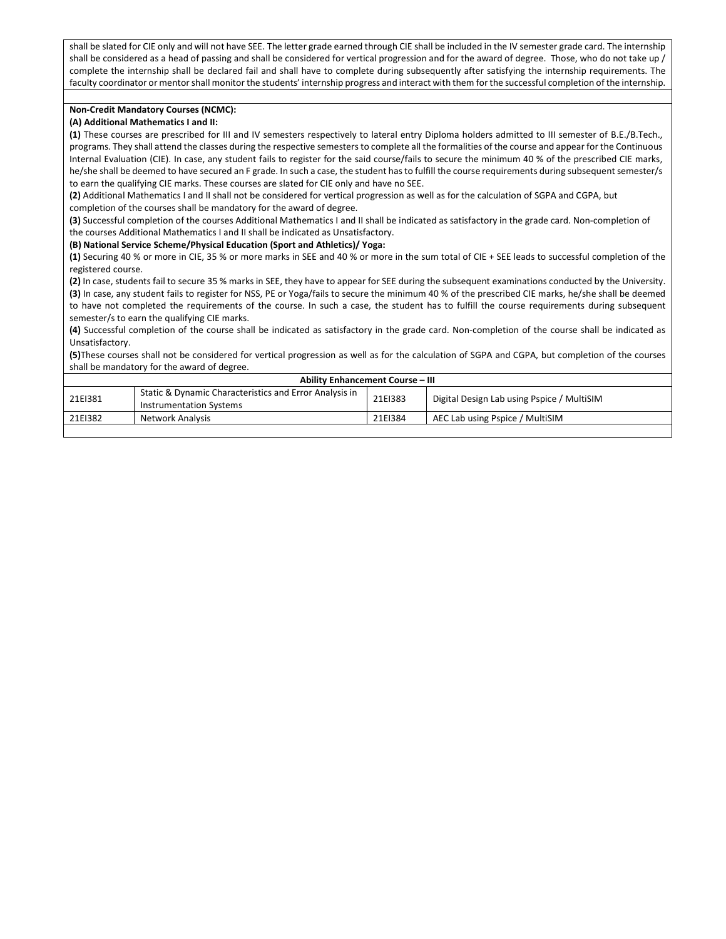shall be slated for CIE only and will not have SEE. The letter grade earned through CIE shall be included in the IV semester grade card. The internship shall be considered as a head of passing and shall be considered for vertical progression and for the award of degree. Those, who do not take up / complete the internship shall be declared fail and shall have to complete during subsequently after satisfying the internship requirements. The faculty coordinator or mentor shall monitor the students' internship progress and interact with them for the successful completion of the internship.

### Non-Credit Mandatory Courses (NCMC):

### (A) Additional Mathematics I and II:

(1) These courses are prescribed for III and IV semesters respectively to lateral entry Diploma holders admitted to III semester of B.E./B.Tech., programs. They shall attend the classes during the respective semesters to complete all the formalities of the course and appear for the Continuous Internal Evaluation (CIE). In case, any student fails to register for the said course/fails to secure the minimum 40 % of the prescribed CIE marks, he/she shall be deemed to have secured an F grade. In such a case, the student has to fulfill the course requirements during subsequent semester/s to earn the qualifying CIE marks. These courses are slated for CIE only and have no SEE.

(2) Additional Mathematics I and II shall not be considered for vertical progression as well as for the calculation of SGPA and CGPA, but completion of the courses shall be mandatory for the award of degree.

(3) Successful completion of the courses Additional Mathematics I and II shall be indicated as satisfactory in the grade card. Non-completion of the courses Additional Mathematics I and II shall be indicated as Unsatisfactory.

### (B) National Service Scheme/Physical Education (Sport and Athletics)/ Yoga:

(1) Securing 40 % or more in CIE, 35 % or more marks in SEE and 40 % or more in the sum total of CIE + SEE leads to successful completion of the registered course.

(2) In case, students fail to secure 35 % marks in SEE, they have to appear for SEE during the subsequent examinations conducted by the University. (3) In case, any student fails to register for NSS, PE or Yoga/fails to secure the minimum 40 % of the prescribed CIE marks, he/she shall be deemed to have not completed the requirements of the course. In such a case, the student has to fulfill the course requirements during subsequent semester/s to earn the qualifying CIE marks.

(4) Successful completion of the course shall be indicated as satisfactory in the grade card. Non-completion of the course shall be indicated as Unsatisfactory.

(5)These courses shall not be considered for vertical progression as well as for the calculation of SGPA and CGPA, but completion of the courses shall be mandatory for the award of degree.

|         | <b>Ability Enhancement Course - III</b>                                                  |         |                                            |
|---------|------------------------------------------------------------------------------------------|---------|--------------------------------------------|
| 21EI381 | Static & Dynamic Characteristics and Error Analysis in<br><b>Instrumentation Systems</b> | 21EI383 | Digital Design Lab using Pspice / MultiSIM |
| 21EI382 | Network Analysis                                                                         | 21EI384 | AEC Lab using Pspice / MultiSIM            |
|         |                                                                                          |         |                                            |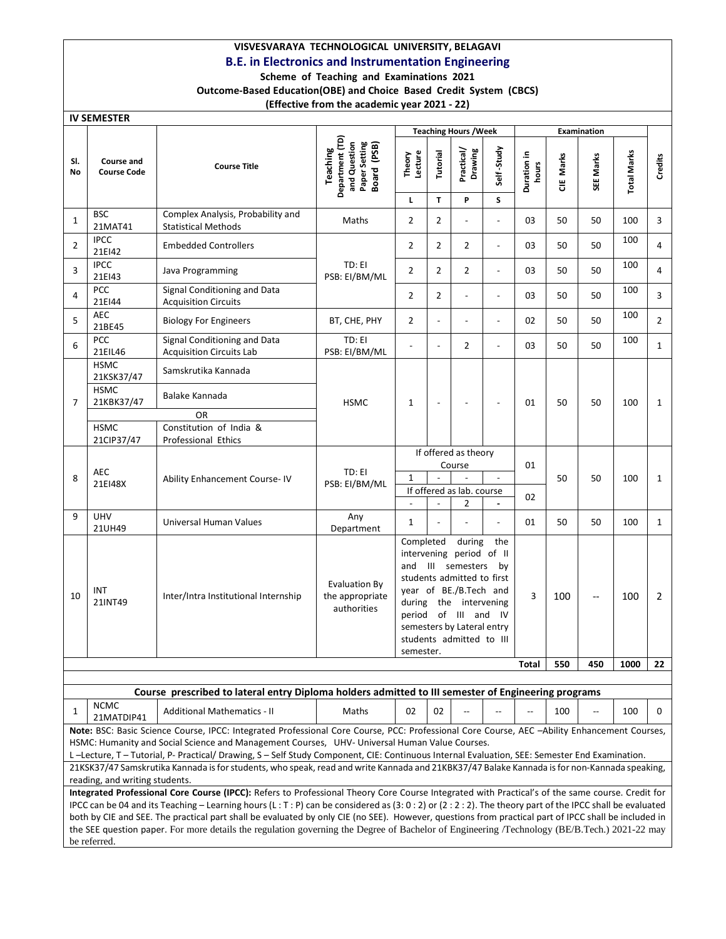# VISVESVARAYA TECHNOLOGICAL UNIVERSITY, BELAGAVI

# B.E. in Electronics and Instrumentation Engineering

### Scheme of Teaching and Examinations 2021 Outcome-Based Education(OBE) and Choice Based Credit System (CBCS)

# (Effective from the academic year 2021 - 22)

 $\overline{I}$ 

| <u>IV SEIVIESTER</u> |                                                        |                                                                                                                                                                                                                                                                                                                                                                                                                                                                                                                                                                                                                    |                                                                             |                                |                                                                               | <b>Teaching Hours / Week</b>                                                                                                                                                                                             |                          |                         |                         | Examination |                    |                |
|----------------------|--------------------------------------------------------|--------------------------------------------------------------------------------------------------------------------------------------------------------------------------------------------------------------------------------------------------------------------------------------------------------------------------------------------------------------------------------------------------------------------------------------------------------------------------------------------------------------------------------------------------------------------------------------------------------------------|-----------------------------------------------------------------------------|--------------------------------|-------------------------------------------------------------------------------|--------------------------------------------------------------------------------------------------------------------------------------------------------------------------------------------------------------------------|--------------------------|-------------------------|-------------------------|-------------|--------------------|----------------|
| SI.<br>No            | <b>Course and</b><br><b>Course Code</b>                | <b>Course Title</b>                                                                                                                                                                                                                                                                                                                                                                                                                                                                                                                                                                                                | Department (TD)<br>Paper Setting<br>and Question<br>Board (PSB)<br>Teaching | Lecture<br>Theory<br>L         | <b>Tutorial</b><br>T.                                                         | Practical/<br>Drawing<br>P                                                                                                                                                                                               | Self-Study<br>S          | ⊇.<br>Duration<br>hours | Marks<br>$\overline{a}$ | SEE Marks   | <b>Total Marks</b> | Credits        |
| 1                    | <b>BSC</b><br>21MAT41                                  | Complex Analysis, Probability and<br><b>Statistical Methods</b>                                                                                                                                                                                                                                                                                                                                                                                                                                                                                                                                                    | Maths                                                                       | $\overline{2}$                 | $\overline{2}$                                                                | L,                                                                                                                                                                                                                       | $\overline{a}$           | 03                      | 50                      | 50          | 100                | 3              |
| $\overline{2}$       | <b>IPCC</b><br>21EI42                                  | <b>Embedded Controllers</b>                                                                                                                                                                                                                                                                                                                                                                                                                                                                                                                                                                                        |                                                                             | $\overline{2}$                 | $\overline{2}$                                                                | $\overline{2}$                                                                                                                                                                                                           | $\overline{a}$           | 03                      | 50                      | 50          | 100                | 4              |
| 3                    | <b>IPCC</b><br>21EI43                                  | Java Programming                                                                                                                                                                                                                                                                                                                                                                                                                                                                                                                                                                                                   | TD: EI<br>PSB: EI/BM/ML                                                     | $\overline{2}$                 | $\overline{2}$                                                                | $\overline{2}$                                                                                                                                                                                                           | $\overline{a}$           | 03                      | 50                      | 50          | 100                | 4              |
| 4                    | <b>PCC</b><br>21EI44                                   | Signal Conditioning and Data<br><b>Acquisition Circuits</b>                                                                                                                                                                                                                                                                                                                                                                                                                                                                                                                                                        |                                                                             | $\overline{2}$                 | $\overline{2}$                                                                | $\overline{a}$                                                                                                                                                                                                           | $\overline{\phantom{0}}$ | 03                      | 50                      | 50          | 100                | 3              |
| 5                    | <b>AEC</b><br>21BE45                                   | <b>Biology For Engineers</b>                                                                                                                                                                                                                                                                                                                                                                                                                                                                                                                                                                                       | BT, CHE, PHY                                                                | $\overline{2}$                 | $\overline{\phantom{a}}$                                                      | $\overline{a}$                                                                                                                                                                                                           | $\overline{\phantom{0}}$ | 02                      | 50                      | 50          | 100                | $\overline{2}$ |
| 6                    | <b>PCC</b><br>21EIL46                                  | Signal Conditioning and Data<br><b>Acquisition Circuits Lab</b>                                                                                                                                                                                                                                                                                                                                                                                                                                                                                                                                                    | TD: EI<br>PSB: EI/BM/ML                                                     |                                | $\overline{\phantom{a}}$                                                      | $\overline{2}$                                                                                                                                                                                                           | $\overline{a}$           | 03                      | 50                      | 50          | 100                | $\mathbf{1}$   |
| 7                    | <b>HSMC</b><br>21KSK37/47<br><b>HSMC</b><br>21KBK37/47 | Samskrutika Kannada<br>Balake Kannada                                                                                                                                                                                                                                                                                                                                                                                                                                                                                                                                                                              |                                                                             | 1                              | $\overline{a}$                                                                |                                                                                                                                                                                                                          |                          | 01                      | 50                      | 50          | 100                | $\mathbf{1}$   |
|                      | <b>HSMC</b><br>21CIP37/47                              | <b>OR</b><br>Constitution of India &<br>Professional Ethics                                                                                                                                                                                                                                                                                                                                                                                                                                                                                                                                                        | <b>HSMC</b>                                                                 |                                |                                                                               |                                                                                                                                                                                                                          |                          |                         |                         |             |                    |                |
| 8                    | <b>AEC</b><br>21EI48X                                  | <b>Ability Enhancement Course-IV</b>                                                                                                                                                                                                                                                                                                                                                                                                                                                                                                                                                                               | TD: EI<br>PSB: EI/BM/ML                                                     | $\mathbf{1}$<br>$\blacksquare$ | If offered as theory<br>Course<br>$\blacksquare$<br>If offered as lab. course |                                                                                                                                                                                                                          |                          | 01<br>02                | 50                      | 50          | 100                | $\mathbf{1}$   |
| 9                    | <b>UHV</b><br>21UH49                                   | Universal Human Values                                                                                                                                                                                                                                                                                                                                                                                                                                                                                                                                                                                             | Any<br>Department                                                           | $\mathbf{1}$                   |                                                                               | 2                                                                                                                                                                                                                        |                          | 01                      | 50                      | 50          | 100                | $\mathbf{1}$   |
| 10                   | INT<br>21INT49                                         | Inter/Intra Institutional Internship                                                                                                                                                                                                                                                                                                                                                                                                                                                                                                                                                                               | Evaluation By<br>the appropriate<br>authorities                             | Completed<br>semester.         |                                                                               | during<br>intervening period of II<br>and III semesters<br>students admitted to first<br>year of BE./B.Tech and<br>during the intervening<br>period of III and<br>semesters by Lateral entry<br>students admitted to III | the<br>by<br>- IV        | 3                       | 100                     |             | 100                | $\overline{2}$ |
|                      |                                                        |                                                                                                                                                                                                                                                                                                                                                                                                                                                                                                                                                                                                                    |                                                                             |                                |                                                                               |                                                                                                                                                                                                                          |                          | Total                   | 550                     | 450         | 1000               | 22             |
|                      |                                                        | Course prescribed to lateral entry Diploma holders admitted to III semester of Engineering programs                                                                                                                                                                                                                                                                                                                                                                                                                                                                                                                |                                                                             |                                |                                                                               |                                                                                                                                                                                                                          |                          |                         |                         |             |                    |                |
| 1                    | <b>NCMC</b><br>21MATDIP41                              | <b>Additional Mathematics - II</b>                                                                                                                                                                                                                                                                                                                                                                                                                                                                                                                                                                                 | Maths                                                                       | 02                             | 02                                                                            |                                                                                                                                                                                                                          |                          |                         | 100                     | --          | 100                | 0              |
|                      |                                                        | Note: BSC: Basic Science Course, IPCC: Integrated Professional Core Course, PCC: Professional Core Course, AEC -Ability Enhancement Courses,<br>HSMC: Humanity and Social Science and Management Courses, UHV- Universal Human Value Courses.<br>L-Lecture, T-Tutorial, P- Practical/ Drawing, S-Self Study Component, CIE: Continuous Internal Evaluation, SEE: Semester End Examination.<br>21KSK37/47 Samskrutika Kannada is for students, who speak, read and write Kannada and 21KBK37/47 Balake Kannada is for non-Kannada speaking,                                                                         |                                                                             |                                |                                                                               |                                                                                                                                                                                                                          |                          |                         |                         |             |                    |                |
|                      | reading, and writing students.<br>be referred.         | Integrated Professional Core Course (IPCC): Refers to Professional Theory Core Course Integrated with Practical's of the same course. Credit for<br>IPCC can be 04 and its Teaching - Learning hours (L: T: P) can be considered as (3: 0: 2) or (2: 2: 2). The theory part of the IPCC shall be evaluated<br>both by CIE and SEE. The practical part shall be evaluated by only CIE (no SEE). However, questions from practical part of IPCC shall be included in<br>the SEE question paper. For more details the regulation governing the Degree of Bachelor of Engineering /Technology (BE/B.Tech.) 2021-22 may |                                                                             |                                |                                                                               |                                                                                                                                                                                                                          |                          |                         |                         |             |                    |                |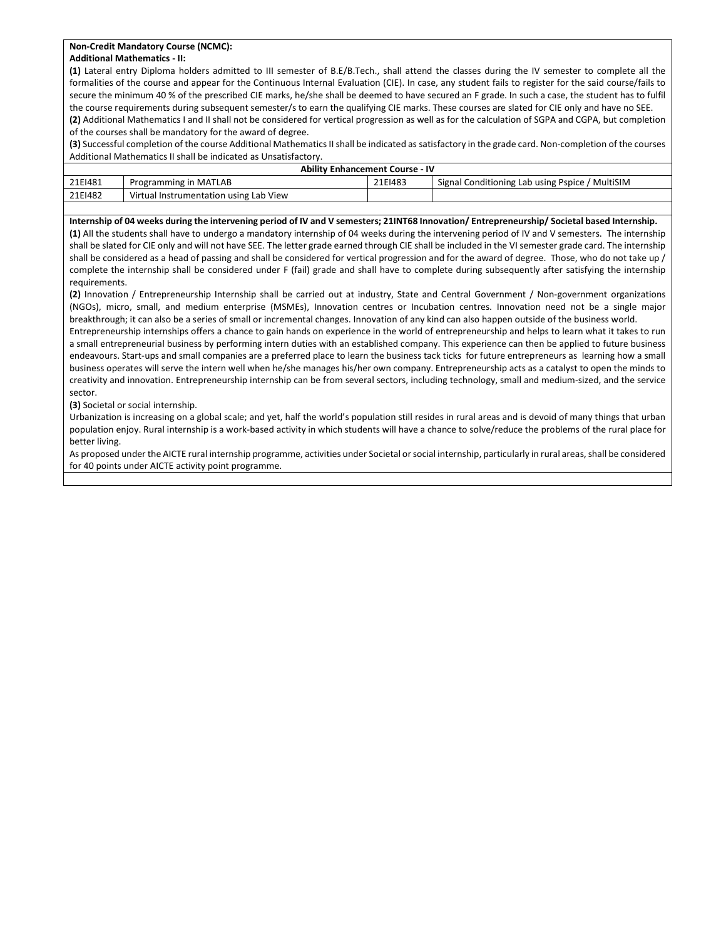### Non-Credit Mandatory Course (NCMC):

### Additional Mathematics - II:

(1) Lateral entry Diploma holders admitted to III semester of B.E/B.Tech., shall attend the classes during the IV semester to complete all the formalities of the course and appear for the Continuous Internal Evaluation (CIE). In case, any student fails to register for the said course/fails to secure the minimum 40 % of the prescribed CIE marks, he/she shall be deemed to have secured an F grade. In such a case, the student has to fulfil the course requirements during subsequent semester/s to earn the qualifying CIE marks. These courses are slated for CIE only and have no SEE.

(2) Additional Mathematics I and II shall not be considered for vertical progression as well as for the calculation of SGPA and CGPA, but completion of the courses shall be mandatory for the award of degree.

(3) Successful completion of the course Additional Mathematics II shall be indicated as satisfactory in the grade card. Non-completion of the courses Additional Mathematics II shall be indicated as Unsatisfactory.

|         | <b>Ability Enhancement Course - IV</b> |         |                                                 |
|---------|----------------------------------------|---------|-------------------------------------------------|
| 21EI481 | Programming in MATLAB                  | 21EI483 | Signal Conditioning Lab using Pspice / MultiSIM |
| 21EI482 | Virtual Instrumentation using Lab View |         |                                                 |

#### Internship of 04 weeks during the intervening period of IV and V semesters; 21INT68 Innovation/ Entrepreneurship/ Societal based Internship.

(1) All the students shall have to undergo a mandatory internship of 04 weeks during the intervening period of IV and V semesters. The internship shall be slated for CIE only and will not have SEE. The letter grade earned through CIE shall be included in the VI semester grade card. The internship shall be considered as a head of passing and shall be considered for vertical progression and for the award of degree. Those, who do not take up / complete the internship shall be considered under F (fail) grade and shall have to complete during subsequently after satisfying the internship requirements.

(2) Innovation / Entrepreneurship Internship shall be carried out at industry, State and Central Government / Non-government organizations (NGOs), micro, small, and medium enterprise (MSMEs), Innovation centres or Incubation centres. Innovation need not be a single major breakthrough; it can also be a series of small or incremental changes. Innovation of any kind can also happen outside of the business world.

Entrepreneurship internships offers a chance to gain hands on experience in the world of entrepreneurship and helps to learn what it takes to run a small entrepreneurial business by performing intern duties with an established company. This experience can then be applied to future business endeavours. Start-ups and small companies are a preferred place to learn the business tack ticks for future entrepreneurs as learning how a small business operates will serve the intern well when he/she manages his/her own company. Entrepreneurship acts as a catalyst to open the minds to creativity and innovation. Entrepreneurship internship can be from several sectors, including technology, small and medium-sized, and the service sector.

### (3) Societal or social internship.

Urbanization is increasing on a global scale; and yet, half the world's population still resides in rural areas and is devoid of many things that urban population enjoy. Rural internship is a work-based activity in which students will have a chance to solve/reduce the problems of the rural place for better living.

As proposed under the AICTE rural internship programme, activities under Societal or social internship, particularly in rural areas, shall be considered for 40 points under AICTE activity point programme.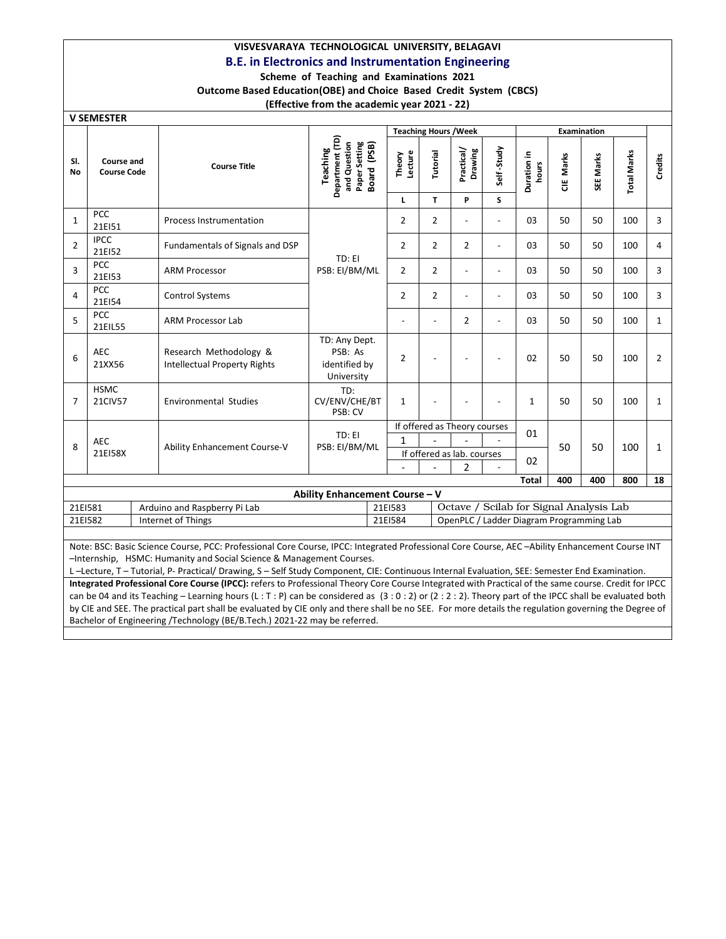# VISVESVARAYA TECHNOLOGICAL UNIVERSITY, BELAGAVI

## B.E. in Electronics and Instrumentation Engineering

### Scheme of Teaching and Examinations 2021 Outcome Based Education(OBE) and Choice Based Credit System (CBCS)

## (Effective from the academic year 2021 - 22)

|  |  | <b>V SEMESTER</b> |
|--|--|-------------------|
|--|--|-------------------|

|                |                                         |                                                                                                                                                |                                                                                       |                   | <b>Teaching Hours / Week</b> |                              |                |                                          |           | <b>Examination</b> |                    |                |
|----------------|-----------------------------------------|------------------------------------------------------------------------------------------------------------------------------------------------|---------------------------------------------------------------------------------------|-------------------|------------------------------|------------------------------|----------------|------------------------------------------|-----------|--------------------|--------------------|----------------|
| SI.<br>No      | <b>Course and</b><br><b>Course Code</b> | <b>Course Title</b>                                                                                                                            | Department (TD)<br>Paper Setting<br>(PSB)<br>and Question<br>Teaching<br><b>Board</b> | Theory<br>Lecture | Tutorial                     | Practical/<br>Drawing        | Self-Study     | Duration in<br>hours                     | CIE Marks | SEE Marks          | <b>Total Marks</b> | Credits        |
|                |                                         |                                                                                                                                                |                                                                                       | L                 | T.                           | P                            | S              |                                          |           |                    |                    |                |
| 1              | <b>PCC</b><br>21EI51                    | <b>Process Instrumentation</b>                                                                                                                 |                                                                                       | $\overline{2}$    | $\overline{2}$               | $\overline{a}$               | $\overline{a}$ | 03                                       | 50        | 50                 | 100                | 3              |
| $\overline{2}$ | <b>IPCC</b><br>21EI52                   | Fundamentals of Signals and DSP                                                                                                                | TD: EI                                                                                | $\overline{2}$    | $\overline{2}$               | $\overline{2}$               | $\overline{a}$ | 03                                       | 50        | 50                 | 100                | 4              |
| 3              | <b>PCC</b><br>21EI53                    | <b>ARM Processor</b>                                                                                                                           | PSB: EI/BM/ML                                                                         | $\overline{2}$    | $\overline{2}$               | $\overline{a}$               | $\overline{a}$ | 03                                       | 50        | 50                 | 100                | 3              |
| 4              | <b>PCC</b><br>21EI54                    | <b>Control Systems</b>                                                                                                                         |                                                                                       | $\overline{2}$    | $\overline{2}$               | $\overline{a}$               | $\overline{a}$ | 03                                       | 50        | 50                 | 100                | 3              |
| 5              | <b>PCC</b><br>21EIL55                   | <b>ARM Processor Lab</b>                                                                                                                       |                                                                                       |                   |                              | $\overline{2}$               |                | 03                                       | 50        | 50                 | 100                | $\mathbf{1}$   |
| 6              | <b>AEC</b><br>21XX56                    | Research Methodology &<br><b>Intellectual Property Rights</b>                                                                                  | TD: Any Dept.<br>PSB: As<br>identified by<br>University                               | $\overline{2}$    |                              |                              |                | 02                                       | 50        | 50                 | 100                | $\overline{2}$ |
| $\overline{7}$ | <b>HSMC</b><br>21CIV57                  | <b>Environmental Studies</b>                                                                                                                   | TD:<br>CV/ENV/CHE/BT<br>PSB: CV                                                       | $\mathbf{1}$      |                              |                              |                | $\mathbf{1}$                             | 50        | 50                 | 100                | $\mathbf{1}$   |
|                |                                         |                                                                                                                                                | TD: EI                                                                                |                   |                              | If offered as Theory courses |                | 01                                       |           |                    |                    |                |
| 8              | <b>AEC</b>                              | Ability Enhancement Course-V                                                                                                                   | PSB: EI/BM/ML                                                                         | $\mathbf{1}$      |                              |                              |                |                                          | 50        | 50                 | 100                | $\mathbf{1}$   |
|                | 21EI58X                                 |                                                                                                                                                |                                                                                       |                   |                              | If offered as lab. courses   |                | 02                                       |           |                    |                    |                |
|                |                                         |                                                                                                                                                |                                                                                       |                   |                              | $\mathfrak{p}$               |                |                                          | 400       | 400                | 800                | 18             |
|                |                                         |                                                                                                                                                | Ability Enhancement Course - V                                                        |                   |                              |                              |                | Total                                    |           |                    |                    |                |
| 21EI581        |                                         | Arduino and Raspberry Pi Lab                                                                                                                   |                                                                                       | 21EI583           |                              |                              |                | Octave / Scilab for Signal Analysis Lab  |           |                    |                    |                |
| 21EI582        |                                         | Internet of Things                                                                                                                             |                                                                                       | 21EI584           |                              |                              |                | OpenPLC / Ladder Diagram Programming Lab |           |                    |                    |                |
|                |                                         |                                                                                                                                                |                                                                                       |                   |                              |                              |                |                                          |           |                    |                    |                |
|                |                                         | Note: BSC: Basic Science Course, BCC: Professional Core Course, IBCC: Integrated Professional Core Course, AEC -Ability Enhancement Course INT |                                                                                       |                   |                              |                              |                |                                          |           |                    |                    |                |

asic Science Course, PCC: Professional Core Course, IPCC: Integrated Professional Core Course, AEC –Ability Enhancement Course INT –Internship, HSMC: Humanity and Social Science & Management Courses.

L –Lecture, T – Tutorial, P- Practical/ Drawing, S – Self Study Component, CIE: Continuous Internal Evaluation, SEE: Semester End Examination. Integrated Professional Core Course (IPCC): refers to Professional Theory Core Course Integrated with Practical of the same course. Credit for IPCC can be 04 and its Teaching - Learning hours (L : T : P) can be considered as (3 : 0 : 2) or (2 : 2 : 2). Theory part of the IPCC shall be evaluated both by CIE and SEE. The practical part shall be evaluated by CIE only and there shall be no SEE. For more details the regulation governing the Degree of Bachelor of Engineering /Technology (BE/B.Tech.) 2021-22 may be referred.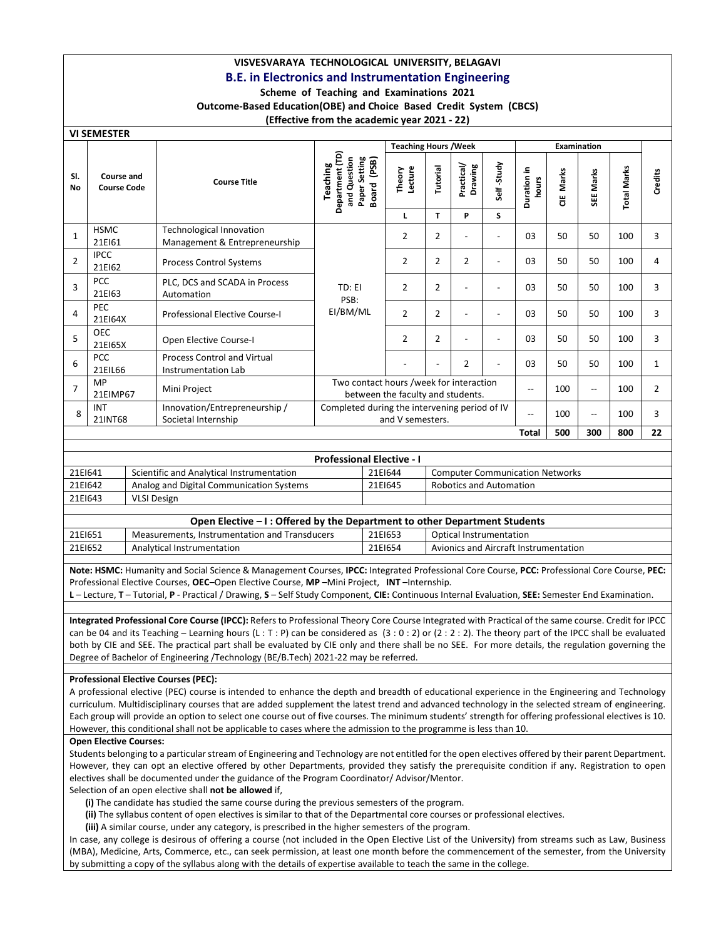### VISVESVARAYA TECHNOLOGICAL UNIVERSITY, BELAGAVI B.E. in Electronics and Instrumentation Engineering

### Scheme of Teaching and Examinations 2021

Outcome-Based Education(OBE) and Choice Based Credit System (CBCS)

### (Effective from the academic year 2021 - 22)

|                | <u>VI SEIVIESTEK</u>             |                                                           |                                                                                       |                                                                                                        |                |                       |                          |                          |            |                          |                    |                |
|----------------|----------------------------------|-----------------------------------------------------------|---------------------------------------------------------------------------------------|--------------------------------------------------------------------------------------------------------|----------------|-----------------------|--------------------------|--------------------------|------------|--------------------------|--------------------|----------------|
|                |                                  |                                                           |                                                                                       | <b>Teaching Hours / Week</b>                                                                           |                |                       |                          |                          |            | <b>Examination</b>       |                    |                |
| SI.<br>No      | Course and<br><b>Course Code</b> | <b>Course Title</b>                                       | Department (TD)<br>Paper Setting<br>and Question<br>(PSB)<br>Teaching<br><b>Board</b> | Lecture<br>Theory                                                                                      | Tutorial       | Practical/<br>Drawing | Self-Study               | Duration in<br>hours     | Marks<br>쁭 | SEE Marks                | <b>Total Marks</b> | Credits        |
|                |                                  |                                                           |                                                                                       | L                                                                                                      | T              | P                     | S                        |                          |            |                          |                    |                |
| $\mathbf{1}$   | <b>HSMC</b><br>21EI61            | Technological Innovation<br>Management & Entrepreneurship |                                                                                       | 2                                                                                                      | 2              |                       | $\overline{\phantom{a}}$ | 03                       | 50         | 50                       | 100                | 3              |
| $\overline{2}$ | <b>IPCC</b><br>21EI62            | <b>Process Control Systems</b>                            |                                                                                       | 2                                                                                                      | 2              | $\overline{2}$        | ٠                        | 03                       | 50         | 50                       | 100                | 4              |
| 3              | <b>PCC</b><br>21EI63             | PLC, DCS and SCADA in Process<br>Automation               | TD: EI                                                                                | $\overline{2}$                                                                                         | 2              |                       |                          | 03                       | 50         | 50                       | 100                | 3              |
| 4              | <b>PEC</b><br>21EI64X            | <b>Professional Elective Course-I</b>                     | PSB:<br>EI/BM/ML                                                                      | $\overline{2}$                                                                                         | $\overline{2}$ |                       | $\overline{a}$           | 03                       | 50         | 50                       | 100                | 3              |
| 5              | <b>OEC</b><br>21E165X            | Open Elective Course-I                                    |                                                                                       | $\overline{2}$                                                                                         | $\overline{2}$ |                       | ٠                        | 03                       | 50         | 50                       | 100                | 3              |
| 6              | <b>PCC</b><br>21EIL66            | <b>Process Control and Virtual</b><br>Instrumentation Lab |                                                                                       |                                                                                                        |                | $\overline{2}$        |                          | 0 <sup>3</sup>           | 50         | 50                       | 100                | $\mathbf{1}$   |
| $\overline{7}$ | MP<br>21EIMP67                   | Mini Project                                              | Two contact hours /week for interaction                                               |                                                                                                        |                |                       |                          | $\overline{\phantom{a}}$ | 100        | $\overline{\phantom{a}}$ | 100                | $\overline{2}$ |
| 8              | <b>INT</b><br>21INT68            | Innovation/Entrepreneurship/<br>Societal Internship       |                                                                                       | between the faculty and students.<br>Completed during the intervening period of IV<br>and V semesters. |                |                       |                          |                          | 100        | --                       | 100                | 3              |
|                |                                  |                                                           |                                                                                       |                                                                                                        |                |                       |                          | Total                    | 500        | 300                      | 800                | 22             |

|         | <b>Professional Elective - I</b>          |         |                                        |  |  |  |  |  |  |
|---------|-------------------------------------------|---------|----------------------------------------|--|--|--|--|--|--|
| 21E1641 | Scientific and Analytical Instrumentation | 21EI644 | <b>Computer Communication Networks</b> |  |  |  |  |  |  |
| 21EI642 | Analog and Digital Communication Systems  | 21EI645 | <b>Robotics and Automation</b>         |  |  |  |  |  |  |
| 21EI643 | VLSI Design                               |         |                                        |  |  |  |  |  |  |
|         |                                           |         |                                        |  |  |  |  |  |  |

|         | Open Elective – I: Offered by the Department to other Department Students |         |                                       |  |  |  |  |  |  |
|---------|---------------------------------------------------------------------------|---------|---------------------------------------|--|--|--|--|--|--|
| 21EI651 | Measurements, Instrumentation and Transducers                             | 21EI653 | Optical Instrumentation               |  |  |  |  |  |  |
| 21E1652 | Analytical Instrumentation                                                | 21EI654 | Avionics and Aircraft Instrumentation |  |  |  |  |  |  |

Note: HSMC: Humanity and Social Science & Management Courses, IPCC: Integrated Professional Core Course, PCC: Professional Core Course, PEC: Professional Elective Courses, OEC–Open Elective Course, MP –Mini Project, INT –Internship.

L – Lecture, T – Tutorial, P - Practical / Drawing, S – Self Study Component, CIE: Continuous Internal Evaluation, SEE: Semester End Examination.

Integrated Professional Core Course (IPCC): Refers to Professional Theory Core Course Integrated with Practical of the same course. Credit for IPCC can be 04 and its Teaching – Learning hours (L : T : P) can be considered as (3 : 0 : 2) or (2 : 2 : 2). The theory part of the IPCC shall be evaluated both by CIE and SEE. The practical part shall be evaluated by CIE only and there shall be no SEE. For more details, the regulation governing the Degree of Bachelor of Engineering /Technology (BE/B.Tech) 2021-22 may be referred.

### Professional Elective Courses (PEC):

A professional elective (PEC) course is intended to enhance the depth and breadth of educational experience in the Engineering and Technology curriculum. Multidisciplinary courses that are added supplement the latest trend and advanced technology in the selected stream of engineering. Each group will provide an option to select one course out of five courses. The minimum students' strength for offering professional electives is 10. However, this conditional shall not be applicable to cases where the admission to the programme is less than 10.

### Open Elective Courses:

Students belonging to a particular stream of Engineering and Technology are not entitled for the open electives offered by their parent Department. However, they can opt an elective offered by other Departments, provided they satisfy the prerequisite condition if any. Registration to open electives shall be documented under the guidance of the Program Coordinator/ Advisor/Mentor.

Selection of an open elective shall not be allowed if,

(i) The candidate has studied the same course during the previous semesters of the program.

(ii) The syllabus content of open electives is similar to that of the Departmental core courses or professional electives.

(iii) A similar course, under any category, is prescribed in the higher semesters of the program.

In case, any college is desirous of offering a course (not included in the Open Elective List of the University) from streams such as Law, Business (MBA), Medicine, Arts, Commerce, etc., can seek permission, at least one month before the commencement of the semester, from the University by submitting a copy of the syllabus along with the details of expertise available to teach the same in the college.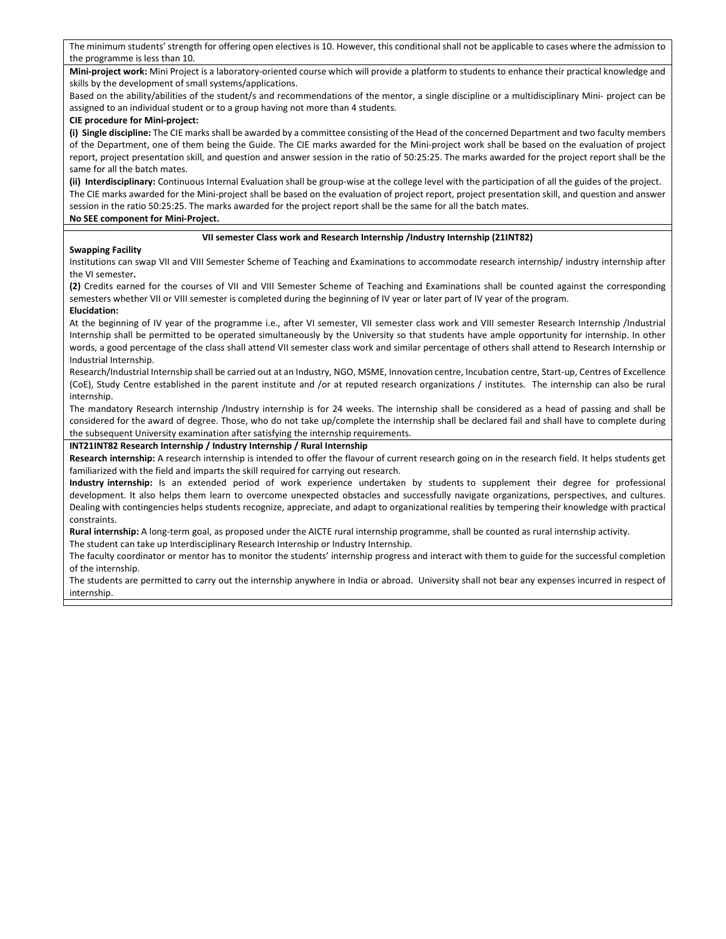The minimum students' strength for offering open electives is 10. However, this conditional shall not be applicable to cases where the admission to the programme is less than 10.

Mini-project work: Mini Project is a laboratory-oriented course which will provide a platform to students to enhance their practical knowledge and skills by the development of small systems/applications.

Based on the ability/abilities of the student/s and recommendations of the mentor, a single discipline or a multidisciplinary Mini- project can be assigned to an individual student or to a group having not more than 4 students.

#### CIE procedure for Mini-project:

(i) Single discipline: The CIE marks shall be awarded by a committee consisting of the Head of the concerned Department and two faculty members of the Department, one of them being the Guide. The CIE marks awarded for the Mini-project work shall be based on the evaluation of project report, project presentation skill, and question and answer session in the ratio of 50:25:25. The marks awarded for the project report shall be the same for all the batch mates.

(ii) Interdisciplinary: Continuous Internal Evaluation shall be group-wise at the college level with the participation of all the guides of the project. The CIE marks awarded for the Mini-project shall be based on the evaluation of project report, project presentation skill, and question and answer session in the ratio 50:25:25. The marks awarded for the project report shall be the same for all the batch mates.

### No SEE component for Mini-Project.

### VII semester Class work and Research Internship /Industry Internship (21INT82)

### Swapping Facility

Institutions can swap VII and VIII Semester Scheme of Teaching and Examinations to accommodate research internship/ industry internship after the VI semester.

(2) Credits earned for the courses of VII and VIII Semester Scheme of Teaching and Examinations shall be counted against the corresponding semesters whether VII or VIII semester is completed during the beginning of IV year or later part of IV year of the program. Elucidation:

At the beginning of IV year of the programme i.e., after VI semester, VII semester class work and VIII semester Research Internship /Industrial Internship shall be permitted to be operated simultaneously by the University so that students have ample opportunity for internship. In other words, a good percentage of the class shall attend VII semester class work and similar percentage of others shall attend to Research Internship or Industrial Internship.

Research/Industrial Internship shall be carried out at an Industry, NGO, MSME, Innovation centre, Incubation centre, Start-up, Centres of Excellence (CoE), Study Centre established in the parent institute and /or at reputed research organizations / institutes. The internship can also be rural internship.

The mandatory Research internship /Industry internship is for 24 weeks. The internship shall be considered as a head of passing and shall be considered for the award of degree. Those, who do not take up/complete the internship shall be declared fail and shall have to complete during the subsequent University examination after satisfying the internship requirements.

### INT21INT82 Research Internship / Industry Internship / Rural Internship

Research internship: A research internship is intended to offer the flavour of current research going on in the research field. It helps students get familiarized with the field and imparts the skill required for carrying out research.

Industry internship: Is an extended period of work experience undertaken by students to supplement their degree for professional development. It also helps them learn to overcome unexpected obstacles and successfully navigate organizations, perspectives, and cultures. Dealing with contingencies helps students recognize, appreciate, and adapt to organizational realities by tempering their knowledge with practical constraints.

Rural internship: A long-term goal, as proposed under the AICTE rural internship programme, shall be counted as rural internship activity.

The student can take up Interdisciplinary Research Internship or Industry Internship.

The faculty coordinator or mentor has to monitor the students' internship progress and interact with them to guide for the successful completion of the internship.

The students are permitted to carry out the internship anywhere in India or abroad. University shall not bear any expenses incurred in respect of internship.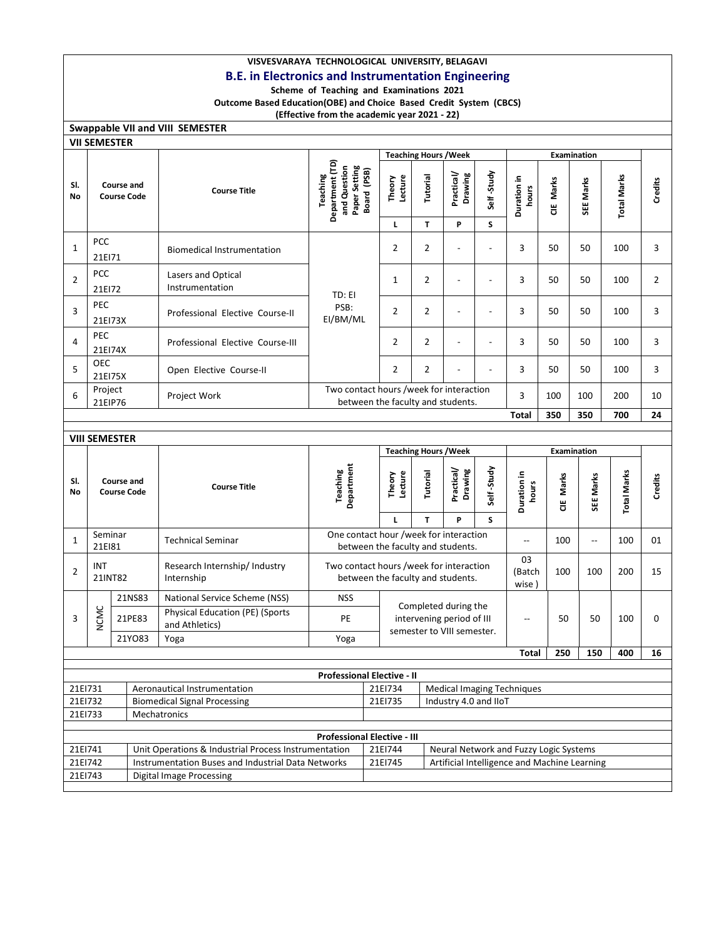## VISVESVARAYA TECHNOLOGICAL UNIVERSITY, BELAGAVI B.E. in Electronics and Instrumentation Engineering

## Scheme of Teaching and Examinations 2021

Outcome Based Education(OBE) and Choice Based Credit System (CBCS)

## (Effective from the academic year 2021 - 22)

| <b>Swappable VII and VIII SEMESTER</b> |  |
|----------------------------------------|--|
| <b>VII SEMESTER</b>                    |  |

|                  | <b>VII SEMESTER</b>                     |        |                                                   |                                                                                                                   |                              |                              |                                                   |                     |                                   |           |                |                    |                |
|------------------|-----------------------------------------|--------|---------------------------------------------------|-------------------------------------------------------------------------------------------------------------------|------------------------------|------------------------------|---------------------------------------------------|---------------------|-----------------------------------|-----------|----------------|--------------------|----------------|
|                  |                                         |        |                                                   |                                                                                                                   |                              | <b>Teaching Hours / Week</b> |                                                   |                     |                                   |           | Examination    |                    |                |
| SI.<br><b>No</b> | <b>Course and</b><br><b>Course Code</b> |        | <b>Course Title</b>                               | Department (TD)<br>and Question<br>Paper Setting<br>Board (PSB)<br>Teaching                                       | Theory<br>Lecture            | <b>Tutorial</b>              | Practical/<br>Drawing                             | Self-Study          | Duration in<br>hours              | CIE Marks | SEE Marks      | <b>Total Marks</b> | Credits        |
| $\mathbf{1}$     | PCC<br>21EI71                           |        | <b>Biomedical Instrumentation</b>                 |                                                                                                                   | Г<br>$\overline{2}$          | T<br>$\overline{2}$          | P<br>$\overline{a}$                               | S<br>$\overline{a}$ | 3                                 | 50        | 50             | 100                | 3              |
| $\overline{2}$   | PCC<br>21EI72                           |        | Lasers and Optical<br>Instrumentation             | TD: EI                                                                                                            | $\mathbf{1}$                 | $\overline{2}$               | $\overline{a}$                                    | $\overline{a}$      | 3                                 | 50        | 50             | 100                | $\overline{2}$ |
| $\overline{3}$   | <b>PEC</b><br>21EI73X                   |        | Professional Elective Course-II                   | PSB:<br>EI/BM/ML                                                                                                  | $\overline{2}$               | $\overline{2}$               | $\overline{a}$                                    | $\overline{a}$      | 3                                 | 50        | 50             | 100                | 3              |
| $\overline{4}$   | <b>PEC</b><br>21EI74X                   |        | Professional Elective Course-III                  |                                                                                                                   | $\overline{2}$               | $\overline{2}$               | $\overline{a}$                                    | $\overline{a}$      | 3                                 | 50        | 50             | 100                | 3              |
| 5                | <b>OEC</b><br>21EI75X                   |        | Open Elective Course-II                           |                                                                                                                   | $\overline{2}$               | $\overline{2}$               |                                                   |                     | 3                                 | 50        | 50             | 100                | 3              |
| 6                | Project<br>21EIP76                      |        | Project Work                                      | Two contact hours /week for interaction<br>between the faculty and students.                                      |                              |                              |                                                   | 3                   | 100                               | 100       | 200            | 10                 |                |
|                  |                                         |        |                                                   |                                                                                                                   |                              |                              |                                                   |                     | <b>Total</b>                      | 350       | 350            | 700                | 24             |
|                  | <b>VIII SEMESTER</b>                    |        |                                                   |                                                                                                                   |                              |                              |                                                   |                     |                                   |           |                |                    |                |
|                  |                                         |        |                                                   |                                                                                                                   | <b>Teaching Hours / Week</b> |                              |                                                   |                     |                                   |           |                |                    |                |
|                  |                                         |        |                                                   |                                                                                                                   |                              |                              |                                                   |                     |                                   |           | Examination    |                    |                |
| SI.<br>No        | Course and<br><b>Course Code</b>        |        | <b>Course Title</b>                               | Department<br><b>Teaching</b>                                                                                     | Theory<br>Lecture            | Tutorial                     | Practical/<br>Drawing                             | Self-Study          | Duration in<br>hours              | CIE Marks | SEE Marks      | <b>Total Marks</b> | Credits        |
| $\mathbf{1}$     | Seminar                                 |        | <b>Technical Seminar</b>                          | One contact hour /week for interaction                                                                            | Г                            | T                            | P                                                 | S                   | $\overline{a}$                    | 100       | $\overline{a}$ | 100                | 01             |
| $\overline{2}$   | 21EI81<br><b>INT</b><br>21INT82         |        | Research Internship/ Industry<br>Internship       | between the faculty and students.<br>Two contact hours /week for interaction<br>between the faculty and students. |                              |                              |                                                   |                     | 03<br>(Batch<br>wise)             | 100       | 100            | 200                | 15             |
|                  |                                         | 21NS83 | National Service Scheme (NSS)                     | <b>NSS</b>                                                                                                        |                              |                              |                                                   |                     |                                   |           |                |                    |                |
| 3                | <b>NCMC</b>                             | 21PE83 | Physical Education (PE) (Sports<br>and Athletics) | PE                                                                                                                |                              |                              | Completed during the<br>intervening period of III |                     | $\overline{\phantom{a}}$          | 50        | 50             | 100                | 0              |
|                  |                                         | 21YO83 | Yoga                                              | Yoga                                                                                                              |                              |                              | semester to VIII semester.                        |                     |                                   |           |                |                    |                |
|                  |                                         |        |                                                   |                                                                                                                   |                              |                              |                                                   |                     | <b>Total</b>                      | 250       | 150            | 400                | 16             |
|                  |                                         |        |                                                   | <b>Professional Elective - II</b>                                                                                 |                              |                              |                                                   |                     |                                   |           |                |                    |                |
| 21EI731          |                                         |        | Aeronautical Instrumentation                      |                                                                                                                   | 21EI734                      |                              |                                                   |                     | <b>Medical Imaging Techniques</b> |           |                |                    |                |
| 21EI732          |                                         |        | <b>Biomedical Signal Processing</b>               |                                                                                                                   | 21EI735                      |                              | Industry 4.0 and IIoT                             |                     |                                   |           |                |                    |                |

| <b>Professional Elective - III</b> |                                                      |         |                                              |  |
|------------------------------------|------------------------------------------------------|---------|----------------------------------------------|--|
| 21EI741                            | Unit Operations & Industrial Process Instrumentation | 21EI744 | Neural Network and Fuzzy Logic Systems       |  |
| 21EI742                            | Instrumentation Buses and Industrial Data Networks   | 21EI745 | Artificial Intelligence and Machine Learning |  |
| 21EI743                            | Digital Image Processing                             |         |                                              |  |
|                                    |                                                      |         |                                              |  |